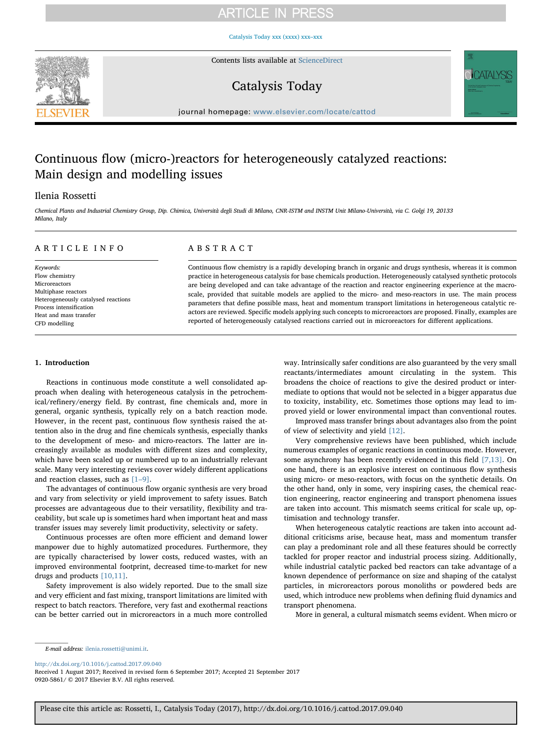# **ARTICLE IN PRESS**

### [Catalysis Today xxx \(xxxx\) xxx–xxx](http://dx.doi.org/10.1016/j.cattod.2017.09.040)



Contents lists available at [ScienceDirect](http://www.sciencedirect.com/science/journal/09205861)

# Catalysis Today



journal homepage: [www.elsevier.com/locate/cattod](https://www.elsevier.com/locate/cattod)

# Continuous flow (micro-)reactors for heterogeneously catalyzed reactions: Main design and modelling issues

## Ilenia Rossetti

Chemical Plants and Industrial Chemistry Group, Dip. Chimica, Università degli Studi di Milano, CNR-ISTM and INSTM Unit Milano-Università, via C. Golgi 19, 20133 Milano, Italy

## ARTICLE INFO

Keywords: Flow chemistry **Microreactors** Multiphase reactors Heterogeneously catalysed reactions Process intensification Heat and mass transfer CFD modelling

# ABSTRACT

Continuous flow chemistry is a rapidly developing branch in organic and drugs synthesis, whereas it is common practice in heterogeneous catalysis for base chemicals production. Heterogeneously catalysed synthetic protocols are being developed and can take advantage of the reaction and reactor engineering experience at the macroscale, provided that suitable models are applied to the micro- and meso-reactors in use. The main process parameters that define possible mass, heat and momentum transport limitations in heterogeneous catalytic reactors are reviewed. Specific models applying such concepts to microreactors are proposed. Finally, examples are reported of heterogeneously catalysed reactions carried out in microreactors for different applications.

## 1. Introduction

Reactions in continuous mode constitute a well consolidated approach when dealing with heterogeneous catalysis in the petrochemical/refinery/energy field. By contrast, fine chemicals and, more in general, organic synthesis, typically rely on a batch reaction mode. However, in the recent past, continuous flow synthesis raised the attention also in the drug and fine chemicals synthesis, especially thanks to the development of meso- and micro-reactors. The latter are increasingly available as modules with different sizes and complexity, which have been scaled up or numbered up to an industrially relevant scale. Many very interesting reviews cover widely different applications and reaction classes, such as [\[1](#page--1-0)–9].

The advantages of continuous flow organic synthesis are very broad and vary from selectivity or yield improvement to safety issues. Batch processes are advantageous due to their versatility, flexibility and traceability, but scale up is sometimes hard when important heat and mass transfer issues may severely limit productivity, selectivity or safety.

Continuous processes are often more efficient and demand lower manpower due to highly automatized procedures. Furthermore, they are typically characterised by lower costs, reduced wastes, with an improved environmental footprint, decreased time-to-market for new drugs and products [\[10,11\].](#page--1-1)

Safety improvement is also widely reported. Due to the small size and very efficient and fast mixing, transport limitations are limited with respect to batch reactors. Therefore, very fast and exothermal reactions can be better carried out in microreactors in a much more controlled

way. Intrinsically safer conditions are also guaranteed by the very small reactants/intermediates amount circulating in the system. This broadens the choice of reactions to give the desired product or intermediate to options that would not be selected in a bigger apparatus due to toxicity, instability, etc. Sometimes those options may lead to improved yield or lower environmental impact than conventional routes.

Improved mass transfer brings about advantages also from the point of view of selectivity and yield [\[12\]](#page--1-2).

Very comprehensive reviews have been published, which include numerous examples of organic reactions in continuous mode. However, some asynchrony has been recently evidenced in this field [\[7,13\]](#page--1-3). On one hand, there is an explosive interest on continuous flow synthesis using micro- or meso-reactors, with focus on the synthetic details. On the other hand, only in some, very inspiring cases, the chemical reaction engineering, reactor engineering and transport phenomena issues are taken into account. This mismatch seems critical for scale up, optimisation and technology transfer.

When heterogeneous catalytic reactions are taken into account additional criticisms arise, because heat, mass and momentum transfer can play a predominant role and all these features should be correctly tackled for proper reactor and industrial process sizing. Additionally, while industrial catalytic packed bed reactors can take advantage of a known dependence of performance on size and shaping of the catalyst particles, in microreactors porous monoliths or powdered beds are used, which introduce new problems when defining fluid dynamics and transport phenomena.

More in general, a cultural mismatch seems evident. When micro or

E-mail address: [ilenia.rossetti@unimi.it](mailto:ilenia.rossetti@unimi.it).

<http://dx.doi.org/10.1016/j.cattod.2017.09.040>

Received 1 August 2017; Received in revised form 6 September 2017; Accepted 21 September 2017 0920-5861/ © 2017 Elsevier B.V. All rights reserved.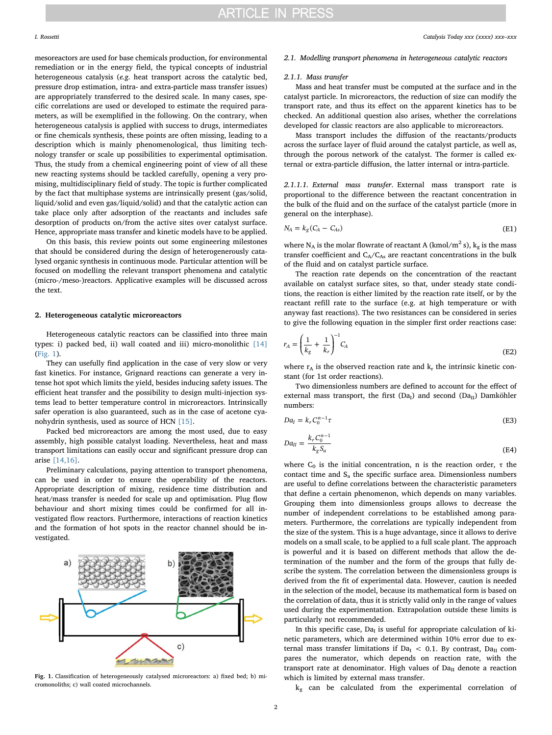mesoreactors are used for base chemicals production, for environmental remediation or in the energy field, the typical concepts of industrial heterogeneous catalysis (e.g. heat transport across the catalytic bed, pressure drop estimation, intra- and extra-particle mass transfer issues) are appropriately transferred to the desired scale. In many cases, specific correlations are used or developed to estimate the required parameters, as will be exemplified in the following. On the contrary, when heterogeneous catalysis is applied with success to drugs, intermediates or fine chemicals synthesis, these points are often missing, leading to a description which is mainly phenomenological, thus limiting technology transfer or scale up possibilities to experimental optimisation. Thus, the study from a chemical engineering point of view of all these new reacting systems should be tackled carefully, opening a very promising, multidisciplinary field of study. The topic is further complicated by the fact that multiphase systems are intrinsically present (gas/solid, liquid/solid and even gas/liquid/solid) and that the catalytic action can take place only after adsorption of the reactants and includes safe desorption of products on/from the active sites over catalyst surface. Hence, appropriate mass transfer and kinetic models have to be applied.

On this basis, this review points out some engineering milestones that should be considered during the design of heterogenerously catalysed organic synthesis in continuous mode. Particular attention will be focused on modelling the relevant transport phenomena and catalytic (micro-/meso-)reactors. Applicative examples will be discussed across the text.

#### 2. Heterogeneous catalytic microreactors

Heterogeneous catalytic reactors can be classified into three main types: i) packed bed, ii) wall coated and iii) micro-monolithic [\[14\]](#page--1-4) ([Fig. 1\)](#page-1-0).

They can usefully find application in the case of very slow or very fast kinetics. For instance, Grignard reactions can generate a very intense hot spot which limits the yield, besides inducing safety issues. The efficient heat transfer and the possibility to design multi-injection systems lead to better temperature control in microreactors. Intrinsically safer operation is also guaranteed, such as in the case of acetone cyanohydrin synthesis, used as source of HCN [\[15\].](#page--1-5)

Packed bed microreactors are among the most used, due to easy assembly, high possible catalyst loading. Nevertheless, heat and mass transport limitations can easily occur and significant pressure drop can arise [\[14,16\].](#page--1-4)

Preliminary calculations, paying attention to transport phenomena, can be used in order to ensure the operability of the reactors. Appropriate description of mixing, residence time distribution and heat/mass transfer is needed for scale up and optimisation. Plug flow behaviour and short mixing times could be confirmed for all investigated flow reactors. Furthermore, interactions of reaction kinetics and the formation of hot spots in the reactor channel should be investigated.

<span id="page-1-0"></span>

Fig. 1. Classification of heterogeneously catalysed microreactors: a) fixed bed; b) micromonoliths; c) wall coated microchannels.

#### 2.1. Modelling transport phenomena in heterogeneous catalytic reactors

#### 2.1.1. Mass transfer

Mass and heat transfer must be computed at the surface and in the catalyst particle. In microreactors, the reduction of size can modify the transport rate, and thus its effect on the apparent kinetics has to be checked. An additional question also arises, whether the correlations developed for classic reactors are also applicable to microreactors.

Mass transport includes the diffusion of the reactants/products across the surface layer of fluid around the catalyst particle, as well as, through the porous network of the catalyst. The former is called external or extra-particle diffusion, the latter internal or intra-particle.

2.1.1.1. External mass transfer. External mass transport rate is proportional to the difference between the reactant concentration in the bulk of the fluid and on the surface of the catalyst particle (more in general on the interphase).

$$
N_A = k_g (C_A - C_{As})
$$
 (E1)

where N<sub>A</sub> is the molar flowrate of reactant A (kmol/m<sup>2</sup> s),  $k_g$  is the mass transfer coefficient and  $C_A/C_{As}$  are reactant concentrations in the bulk of the fluid and on catalyst particle surface.

The reaction rate depends on the concentration of the reactant available on catalyst surface sites, so that, under steady state conditions, the reaction is either limited by the reaction rate itself, or by the reactant refill rate to the surface (e.g. at high temperature or with anyway fast reactions). The two resistances can be considered in series to give the following equation in the simpler first order reactions case:

$$
r_A = \left(\frac{1}{k_g} + \frac{1}{k_r}\right)^{-1} C_A
$$
 (E2)

where  $r_A$  is the observed reaction rate and  $k_r$  the intrinsic kinetic constant (for 1st order reactions).

Two dimensionless numbers are defined to account for the effect of external mass transport, the first (Da<sub>I</sub>) and second (Da<sub>II</sub>) Damköhler numbers:

$$
Da_I = k_r C_0^{n-1} \tau \tag{E3}
$$

$$
Da_{II} = \frac{k_r C_0^{n-1}}{k_g S_a} \tag{E4}
$$

where  $C_0$  is the initial concentration, n is the reaction order,  $\tau$  the contact time and  $S_a$  the specific surface area. Dimensionless numbers are useful to define correlations between the characteristic parameters that define a certain phenomenon, which depends on many variables. Grouping them into dimensionless groups allows to decrease the number of independent correlations to be established among parameters. Furthermore, the correlations are typically independent from the size of the system. This is a huge advantage, since it allows to derive models on a small scale, to be applied to a full scale plant. The approach is powerful and it is based on different methods that allow the determination of the number and the form of the groups that fully describe the system. The correlation between the dimensionless groups is derived from the fit of experimental data. However, caution is needed in the selection of the model, because its mathematical form is based on the correlation of data, thus it is strictly valid only in the range of values used during the experimentation. Extrapolation outside these limits is particularly not recommended.

In this specific case,  $Da<sub>I</sub>$  is useful for appropriate calculation of kinetic parameters, which are determined within 10% error due to external mass transfer limitations if  $Da<sub>I</sub> < 0.1$ . By contrast,  $Da<sub>II</sub>$  compares the numerator, which depends on reaction rate, with the transport rate at denominator. High values of  $Da<sub>II</sub>$  denote a reaction which is limited by external mass transfer.

 $k<sub>g</sub>$  can be calculated from the experimental correlation of